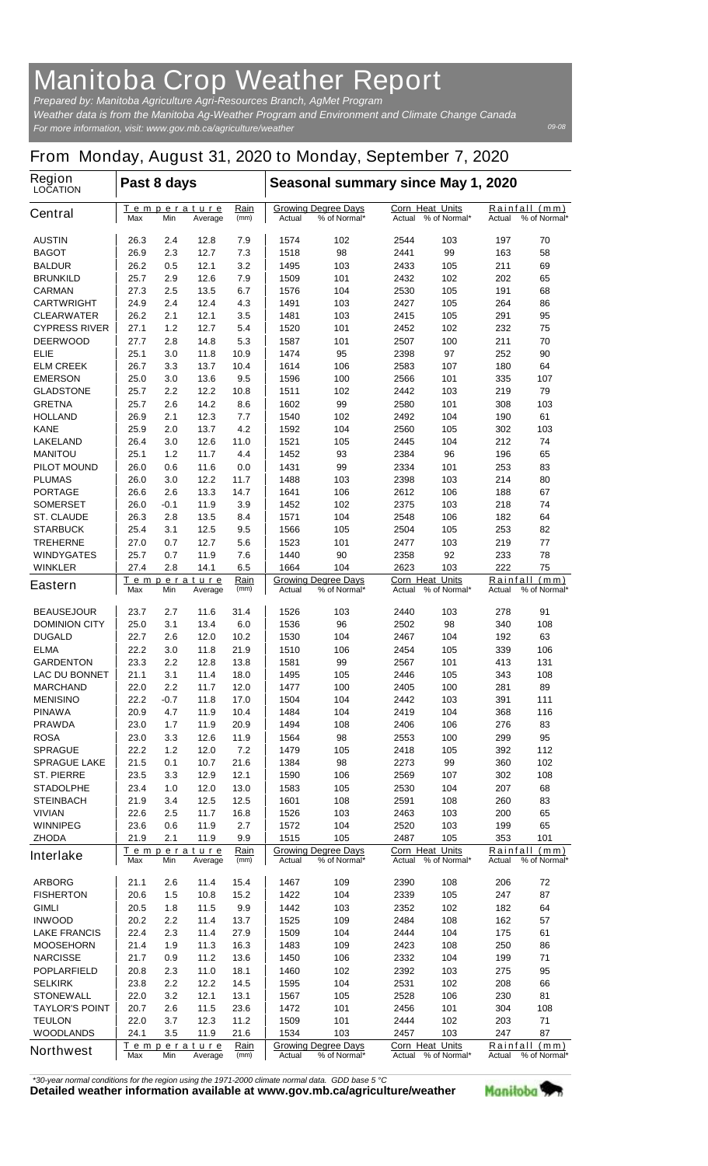## **Manitoba Crop Weather Report**

*For more information, visit: www.gov.mb.ca/agriculture/weather Prepared by: Manitoba Agriculture Agri-Resources Branch, AgMet Program Weather data is from the Manitoba Ag-Weather Program and Environment and Climate Change Canada*

*09-08*

## **From Monday, August 31, 2020 to Monday, September 7, 2020**

| <b>Region</b><br><b>LOCATION</b>       | Past 8 days                          |            |                               |                                                      | Seasonal summary since May 1, 2020                                                                          |                                                  |                        |                                            |                               |                               |
|----------------------------------------|--------------------------------------|------------|-------------------------------|------------------------------------------------------|-------------------------------------------------------------------------------------------------------------|--------------------------------------------------|------------------------|--------------------------------------------|-------------------------------|-------------------------------|
| <b>Central</b>                         | Max                                  | Min        | <u>Temperature</u><br>Average | <u>Rain</u><br>(mm)                                  | Actual                                                                                                      | <b>Growing Degree Days</b><br>% of Normal*       | <b>Corn Heat Units</b> | Actual % of Normal*                        | Actual                        | Rainfall (mm)<br>% of Normal* |
| <b>AUSTIN</b>                          | 26.3                                 | 2.4        | 12.8                          | 7.9                                                  | 1574                                                                                                        | 102                                              | 2544                   | 103                                        | 197                           | 70                            |
| <b>BAGOT</b>                           | 26.9                                 | 2.3        | 12.7                          | 7.3                                                  | 1518                                                                                                        | 98                                               | 2441                   | 99                                         | 163                           | 58                            |
| <b>BALDUR</b>                          | 26.2                                 | 0.5        | 12.1                          | 3.2                                                  | 1495                                                                                                        | 103                                              | 2433                   | 105                                        | 211                           | 69                            |
| <b>BRUNKILD</b>                        | 25.7                                 | 2.9        | 12.6                          | 7.9                                                  | 1509                                                                                                        | 101                                              | 2432                   | 102                                        | 202                           | 65                            |
| <b>CARMAN</b>                          | 27.3                                 | 2.5        | 13.5                          | 6.7                                                  | 1576                                                                                                        | 104                                              | 2530                   | 105                                        | 191                           | 68                            |
| <b>CARTWRIGHT</b><br><b>CLEARWATER</b> | 24.9<br>26.2                         | 2.4        | 12.4                          | 4.3                                                  | 1491                                                                                                        | 103                                              | 2427<br>2415           | 105<br>105                                 | 264                           | 86<br>95                      |
| <b>CYPRESS RIVER</b>                   | 27.1                                 | 2.1<br>1.2 | 12.1<br>12.7                  | 3.5<br>5.4                                           | 1481<br>1520                                                                                                | 103<br>101                                       | 2452                   | 102                                        | 291<br>232                    | 75                            |
| <b>DEERWOOD</b>                        | 27.7                                 | 2.8        | 14.8                          | 5.3                                                  | 1587                                                                                                        | 101                                              | 2507                   | 100                                        | 211                           | 70                            |
| <b>ELIE</b>                            | 25.1                                 | 3.0        | 11.8                          | 10.9                                                 | 1474                                                                                                        | 95                                               | 2398                   | 97                                         | 252                           | 90                            |
| <b>ELM CREEK</b>                       | 26.7                                 | 3.3        | 13.7                          | 10.4                                                 | 1614                                                                                                        | 106                                              | 2583                   | 107                                        | 180                           | 64                            |
| <b>EMERSON</b>                         | 25.0                                 | 3.0        | 13.6                          | 9.5                                                  | 1596                                                                                                        | 100                                              | 2566                   | 101                                        | 335                           | 107                           |
| <b>GLADSTONE</b>                       | 25.7                                 | 2.2        | 12.2                          | 10.8                                                 | 1511                                                                                                        | 102                                              | 2442                   | 103                                        | 219                           | 79                            |
| <b>GRETNA</b>                          | 25.7                                 | 2.6        | 14.2                          | 8.6                                                  | 1602                                                                                                        | 99                                               | 2580                   | 101                                        | 308                           | 103                           |
| <b>HOLLAND</b>                         | 26.9                                 | 2.1        | 12.3                          | 7.7                                                  | 1540                                                                                                        | 102                                              | 2492                   | 104                                        | 190                           | 61                            |
| <b>KANE</b>                            | 25.9                                 | 2.0        | 13.7                          | 4.2                                                  | 1592                                                                                                        | 104                                              | 2560                   | 105                                        | 302                           | 103                           |
| <b>LAKELAND</b>                        | 26.4                                 | 3.0        | 12.6                          | 11.0                                                 | 1521                                                                                                        | 105                                              | 2445                   | 104                                        | 212                           | 74                            |
| <b>MANITOU</b>                         | 25.1                                 | 1.2        | 11.7                          | 4.4                                                  | 1452<br>1431                                                                                                | 93                                               | 2384<br>2334           | 96                                         | 196<br>253                    | 65<br>83                      |
| <b>PILOT MOUND</b><br><b>PLUMAS</b>    | 26.0<br>26.0                         | 0.6<br>3.0 | 11.6<br>12.2                  | 0.0<br>11.7                                          | 1488                                                                                                        | 99<br>103                                        | 2398                   | 101<br>103                                 | 214                           | 80                            |
| <b>PORTAGE</b>                         | 26.6                                 | 2.6        | 13.3                          | 14.7                                                 | 1641                                                                                                        | 106                                              | 2612                   | 106                                        | 188                           | 67                            |
| <b>SOMERSET</b>                        | 26.0                                 | -0.1       | 11.9                          | 3.9                                                  | 1452                                                                                                        | 102                                              | 2375                   | 103                                        | 218                           | 74                            |
| <b>ST. CLAUDE</b>                      | 26.3                                 | 2.8        | 13.5                          | 8.4                                                  | 1571                                                                                                        | 104                                              | 2548                   | 106                                        | 182                           | 64                            |
| <b>STARBUCK</b>                        | 25.4                                 | 3.1        | 12.5                          | 9.5                                                  | 1566                                                                                                        | 105                                              | 2504                   | 105                                        | 253                           | 82                            |
| <b>TREHERNE</b>                        | 27.0                                 | 0.7        | 12.7                          | 5.6                                                  | 1523                                                                                                        | 101                                              | 2477                   | 103                                        | 219                           | 77                            |
| <b>WINDYGATES</b>                      | 25.7                                 | 0.7        | 11.9                          | 7.6                                                  | 1440                                                                                                        | 90                                               | 2358                   | 92                                         | 233                           | 78                            |
| <b>WINKLER</b>                         | 27.4                                 | 2.8        | 14.1                          | 6.5                                                  | 1664                                                                                                        | 104                                              | 2623                   | 103                                        | 222                           | 75                            |
| <b>Eastern</b>                         | Temperature<br>Min<br>Max<br>Average |            | Rain<br>(mm)                  | <b>Growing Degree Days</b><br>% of Normal*<br>Actual |                                                                                                             | <b>Corn Heat Units</b><br>% of Normal*<br>Actual |                        | Rainfall<br>(mm)<br>% of Normal*<br>Actual |                               |                               |
| <b>BEAUSEJOUR</b>                      | 23.7                                 | 2.7        | 11.6                          | 31.4                                                 | 1526                                                                                                        | 103                                              | 2440                   | 103                                        | 278                           | 91                            |
| <b>DOMINION CITY</b>                   | 25.0                                 | 3.1        | 13.4                          | 6.0                                                  | 1536                                                                                                        | 96                                               | 2502                   | 98                                         | 340                           | 108                           |
| <b>DUGALD</b>                          | 22.7                                 | 2.6        | 12.0                          | 10.2                                                 | 1530                                                                                                        | 104                                              | 2467                   | 104                                        | 192                           | 63                            |
| <b>ELMA</b>                            | 22.2                                 | 3.0        | 11.8                          | 21.9                                                 | 1510                                                                                                        | 106                                              | 2454                   | 105                                        | 339                           | 106                           |
| <b>GARDENTON</b>                       | 23.3                                 | 2.2        | 12.8                          | 13.8                                                 | 1581                                                                                                        | 99                                               | 2567                   | 101                                        | 413                           | 131                           |
| <b>LAC DU BONNET</b>                   | 21.1                                 | 3.1        | 11.4                          | 18.0                                                 | 1495                                                                                                        | 105                                              | 2446                   | 105                                        | 343                           | 108                           |
| <b>MARCHAND</b>                        | 22.0                                 | 2.2        | 11.7                          | 12.0                                                 | 1477                                                                                                        | 100                                              | 2405                   | 100                                        | 281                           | 89                            |
| <b>MENISINO</b>                        | 22.2                                 | -0.7       | 11.8                          | 17.0                                                 | 1504                                                                                                        | 104                                              | 2442                   | 103                                        | 391                           | 111                           |
| <b>PINAWA</b>                          | 20.9                                 | 4.7        | 11.9                          | 10.4                                                 | 1484                                                                                                        | 104                                              | 2419                   | 104                                        | 368                           | 116                           |
| <b>PRAWDA</b>                          | 23.0                                 | 1.7        | 11.9                          | 20.9                                                 | 1494                                                                                                        | 108                                              | 2406                   | 106                                        | 276                           | 83                            |
| <b>ROSA</b>                            | 23.0                                 | 3.3        | 12.6                          | 11.9<br>7.2                                          | 1564                                                                                                        | 98                                               | 2553                   | 100                                        | 299                           | 95                            |
| <b>SPRAGUE</b><br><b>SPRAGUE LAKE</b>  | 22.2<br>21.5                         | 1.2<br>0.1 | 12.0<br>10.7                  | 21.6                                                 | 1479<br>1384                                                                                                | 105<br>98                                        | 2418<br>2273           | 105<br>99                                  | 392<br>360                    | 112<br>102                    |
| <b>ST. PIERRE</b>                      | 23.5                                 | 3.3        | 12.9                          | 12.1                                                 | 1590                                                                                                        | 106                                              | 2569                   | 107                                        | 302                           | 108                           |
| <b>STADOLPHE</b>                       | 23.4                                 | 1.0        | 12.0                          | 13.0                                                 | 1583                                                                                                        | 105                                              | 2530                   | 104                                        | 207                           | 68                            |
| <b>STEINBACH</b>                       | 21.9                                 | 3.4        | 12.5                          | 12.5                                                 | 1601                                                                                                        | 108                                              | 2591                   | 108                                        | 260                           | 83                            |
| <b>VIVIAN</b>                          | 22.6                                 | 2.5        | 11.7                          | 16.8                                                 | 1526                                                                                                        | 103                                              | 2463                   | 103                                        | 200                           | 65                            |
| <b>WINNIPEG</b>                        | 23.6                                 | 0.6        | 11.9                          | 2.7                                                  | 1572                                                                                                        | 104                                              | 2520                   | 103                                        | 199                           | 65                            |
| <b>ZHODA</b>                           | 21.9                                 | 2.1        | 11.9                          | 9.9                                                  | 1515                                                                                                        | 105                                              | 2487                   | 105                                        | 353                           | 101                           |
| <b>Interlake</b>                       | Temperature<br>Min<br>Average<br>Max |            | Rain<br>(mm)                  | <b>Growing Degree Days</b><br>% of Normal*<br>Actual |                                                                                                             | Corn Heat Units<br>% of Normal*<br>Actual        |                        | Rainfall (mm)<br>% of Normal*<br>Actual    |                               |                               |
| <b>ARBORG</b>                          | 21.1                                 | 2.6        | 11.4                          | 15.4                                                 | 1467                                                                                                        | 109                                              | 2390                   | 108                                        | 206                           | 72                            |
| <b>FISHERTON</b>                       | 20.6                                 | 1.5        | 10.8                          | 15.2                                                 | 1422                                                                                                        | 104                                              | 2339                   | 105                                        | 247                           | 87                            |
| <b>GIMLI</b>                           | 20.5                                 | 1.8        | 11.5                          | 9.9                                                  | 1442                                                                                                        | 103                                              | 2352                   | 102                                        | 182                           | 64                            |
| <b>INWOOD</b>                          | 20.2                                 | 2.2        | 11.4                          | 13.7                                                 | 1525                                                                                                        | 109                                              | 2484                   | 108                                        | 162                           | 57                            |
| <b>LAKE FRANCIS</b>                    | 22.4                                 | 2.3        | 11.4                          | 27.9                                                 | 1509                                                                                                        | 104                                              | 2444                   | 104                                        | 175                           | 61                            |
| <b>MOOSEHORN</b>                       | 21.4                                 | 1.9        | 11.3                          | 16.3                                                 | 1483                                                                                                        | 109                                              | 2423                   | 108                                        | 250                           | 86                            |
| <b>NARCISSE</b>                        | 21.7                                 | 0.9        | 11.2                          | 13.6                                                 | 1450                                                                                                        | 106                                              | 2332                   | 104                                        | 199                           | 71                            |
| <b>POPLARFIELD</b>                     | 20.8                                 | 2.3        | 11.0                          | 18.1                                                 | 1460                                                                                                        | 102                                              | 2392                   | 103                                        | 275                           | 95                            |
| <b>SELKIRK</b><br><b>STONEWALL</b>     | 23.8<br>22.0                         | 2.2<br>3.2 | 12.2<br>12.1                  | 14.5<br>13.1                                         | 1595<br>1567                                                                                                | 104<br>105                                       | 2531<br>2528           | 102<br>106                                 | 208<br>230                    | 66<br>81                      |
| <b>TAYLOR'S POINT</b>                  | 20.7                                 | 2.6        | 11.5                          | 23.6                                                 | 1472                                                                                                        | 101                                              | 2456                   | 101                                        | 304                           | 108                           |
| <b>TEULON</b>                          | 22.0                                 | 3.7        | 12.3                          | 11.2                                                 | 1509                                                                                                        | 101                                              | 2444                   | 102                                        | 203                           | 71                            |
| <b>WOODLANDS</b>                       | 24.1                                 | 3.5        | 11.9                          | 21.6                                                 | 1534                                                                                                        | 103                                              | 2457                   | 103                                        | 247                           | 87                            |
| <b>Northwest</b>                       | Max                                  | Min        | Temperature<br>Average        | Rain<br>(mm)                                         | Corn Heat Units<br><b>Growing Degree Days</b><br>Actual<br>% of Normal*<br>% of Normal*<br>Actual<br>Actual |                                                  |                        |                                            | Rainfall (mm)<br>% of Normal* |                               |

*\*30-year normal conditions for the region using the 1971-2000 climate normal data. GDD base 5 °C*<br>Detailed weather information available at www.gov.mb.ca/agriculture/weather